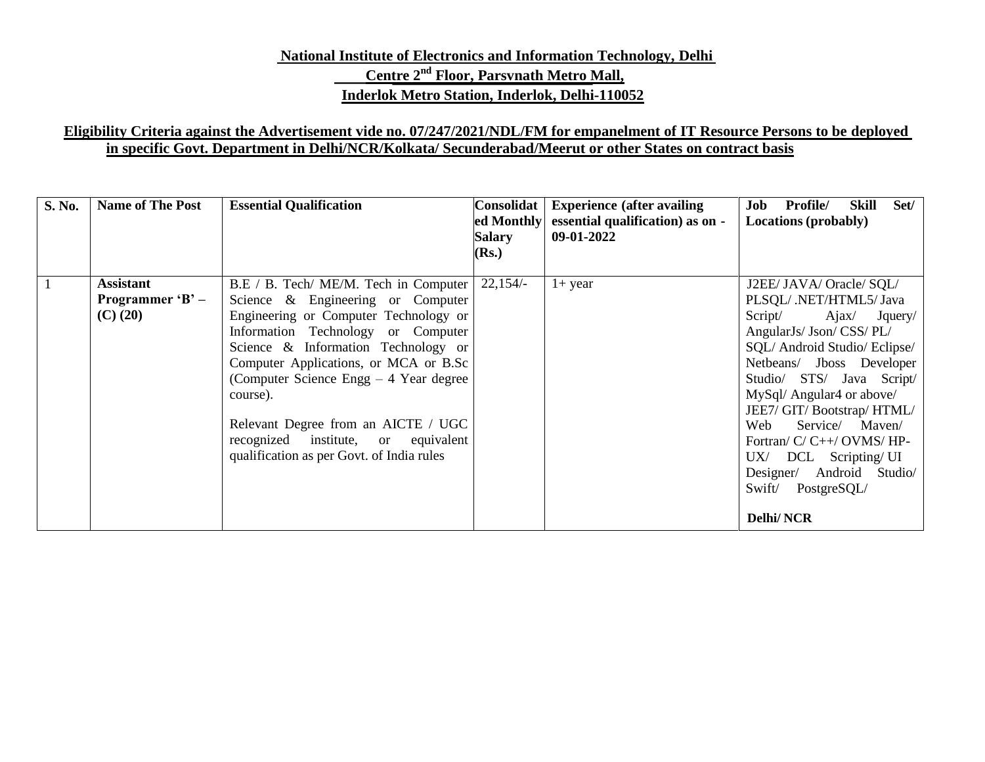# **National Institute of Electronics and Information Technology, Delhi Centre 2 nd Floor, Parsvnath Metro Mall, Inderlok Metro Station, Inderlok, Delhi-110052**

## **Eligibility Criteria against the Advertisement vide no. 07/247/2021/NDL/FM for empanelment of IT Resource Persons to be deployed in specific Govt. Department in Delhi/NCR/Kolkata/ Secunderabad/Meerut or other States on contract basis**

| <b>S. No.</b> | <b>Name of The Post</b>                               | <b>Essential Qualification</b>                                                                                                                                                                                                                                                                                                                                                                                              | Consolidat<br>ed Monthly<br>Salary<br>( <b>Rs.</b> ) | <b>Experience (after availing)</b><br>essential qualification) as on -<br>09-01-2022 | <b>Profile/</b><br>Set/<br>Skill<br>Job<br><b>Locations (probably)</b>                                                                                                                                                                                                                                                                                                                                                      |
|---------------|-------------------------------------------------------|-----------------------------------------------------------------------------------------------------------------------------------------------------------------------------------------------------------------------------------------------------------------------------------------------------------------------------------------------------------------------------------------------------------------------------|------------------------------------------------------|--------------------------------------------------------------------------------------|-----------------------------------------------------------------------------------------------------------------------------------------------------------------------------------------------------------------------------------------------------------------------------------------------------------------------------------------------------------------------------------------------------------------------------|
|               | <b>Assistant</b><br>Programmer ' $B'$ –<br>$(C)$ (20) | B.E / B. Tech/ ME/M. Tech in Computer<br>Science & Engineering or Computer<br>Engineering or Computer Technology or<br>Information Technology or Computer<br>Science & Information Technology or<br>Computer Applications, or MCA or B.Sc<br>(Computer Science Engg $-4$ Year degree<br>course).<br>Relevant Degree from an AICTE / UGC<br>recognized institute, or equivalent<br>qualification as per Govt. of India rules | 22,154/                                              | $1+$ year                                                                            | J2EE/ JAVA/ Oracle/ SQL/<br>PLSQL/ .NET/HTML5/ Java<br>Script/<br>Ajax/ Jquery/<br>AngularJs/ Json/ CSS/ PL/<br>SQL/Android Studio/Eclipse/<br>Netbeans/ Jboss Developer<br>Studio/ STS/ Java Script/<br>MySql/ Angular4 or above/<br>JEE7/ GIT/ Bootstrap/ HTML/<br>Service/ Maven/<br>Web<br>Fortran/ C/ C++/ OVMS/ HP-<br>UX/ DCL Scripting/UI<br>Designer/ Android Studio/<br>Swift/<br>PostgreSQL/<br><b>Delhi/NCR</b> |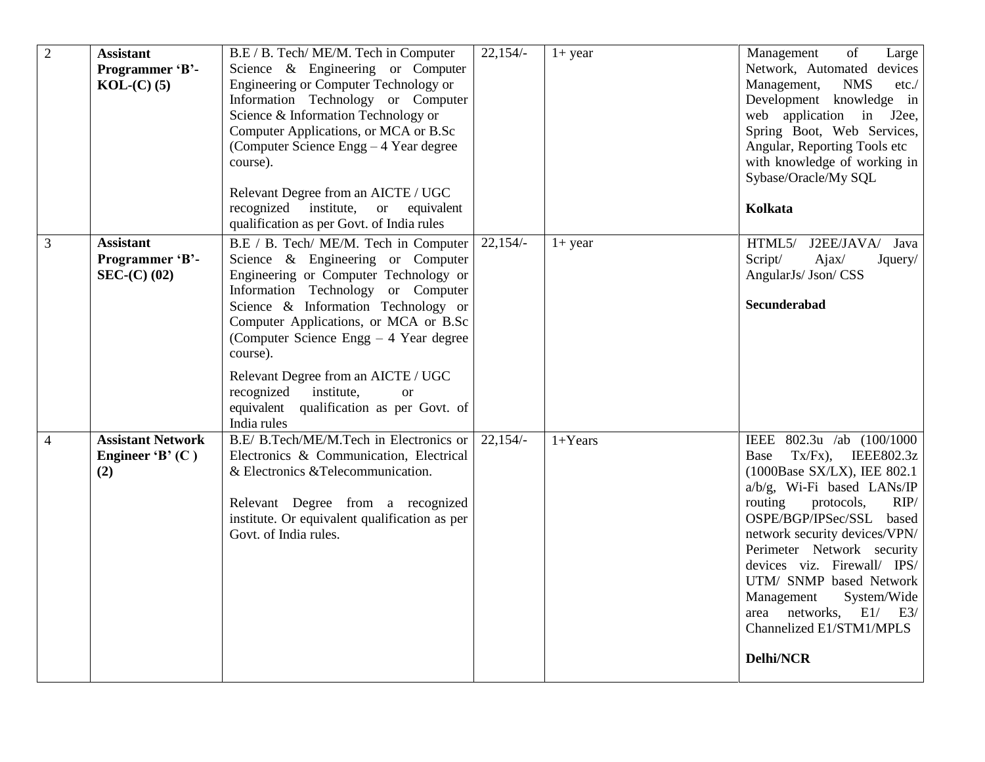| $\overline{2}$ | <b>Assistant</b><br>Programmer 'B'-<br>$KOL-C(0)$ (5) | B.E / B. Tech/ ME/M. Tech in Computer<br>Science & Engineering or Computer<br>Engineering or Computer Technology or<br>Information Technology or Computer<br>Science & Information Technology or<br>Computer Applications, or MCA or B.Sc<br>(Computer Science Engg – 4 Year degree)<br>course).<br>Relevant Degree from an AICTE / UGC<br>recognized institute, or equivalent<br>qualification as per Govt. of India rules                   | $22,154/-$ | $1+$ year | Management<br>of<br>Large<br>Network, Automated devices<br><b>NMS</b><br>Management,<br>etc. /<br>Development knowledge in<br>web application in J2ee,<br>Spring Boot, Web Services,<br>Angular, Reporting Tools etc<br>with knowledge of working in<br>Sybase/Oracle/My SQL<br>Kolkata                                                                                                                             |
|----------------|-------------------------------------------------------|-----------------------------------------------------------------------------------------------------------------------------------------------------------------------------------------------------------------------------------------------------------------------------------------------------------------------------------------------------------------------------------------------------------------------------------------------|------------|-----------|---------------------------------------------------------------------------------------------------------------------------------------------------------------------------------------------------------------------------------------------------------------------------------------------------------------------------------------------------------------------------------------------------------------------|
| $\mathfrak{Z}$ | <b>Assistant</b><br>Programmer 'B'-<br>$SEC-(C) (02)$ | B.E / B. Tech/ ME/M. Tech in Computer<br>Science & Engineering or Computer<br>Engineering or Computer Technology or<br>Information Technology or Computer<br>Science & Information Technology or<br>Computer Applications, or MCA or B.Sc<br>(Computer Science Engg $-4$ Year degree)<br>course).<br>Relevant Degree from an AICTE / UGC<br>recognized institute,<br><sub>or</sub><br>equivalent qualification as per Govt. of<br>India rules | $22,154/-$ | $1+$ year | HTML5/ J2EE/JAVA/ Java<br>Script/<br>Ajax/<br>Jquery/<br>AngularJs/ Json/ CSS<br>Secunderabad                                                                                                                                                                                                                                                                                                                       |
| $\overline{4}$ | <b>Assistant Network</b><br>Engineer 'B' $(C)$<br>(2) | B.E/ B.Tech/ME/M.Tech in Electronics or<br>Electronics & Communication, Electrical<br>& Electronics & Telecommunication.<br>Relevant Degree from a recognized<br>institute. Or equivalent qualification as per<br>Govt. of India rules.                                                                                                                                                                                                       | $22,154/-$ | $1+Years$ | IEEE 802.3u /ab (100/1000<br>$Tx/Fx$ , IEEE802.3z<br>Base<br>(1000Base SX/LX), IEE 802.1<br>a/b/g, Wi-Fi based LANs/IP<br>protocols,<br>RIP/<br>routing<br>OSPE/BGP/IPSec/SSL based<br>network security devices/VPN/<br>Perimeter Network security<br>devices viz. Firewall/ IPS/<br>UTM/ SNMP based Network<br>Management<br>System/Wide<br>area networks, E1/ E3/<br>Channelized E1/STM1/MPLS<br><b>Delhi/NCR</b> |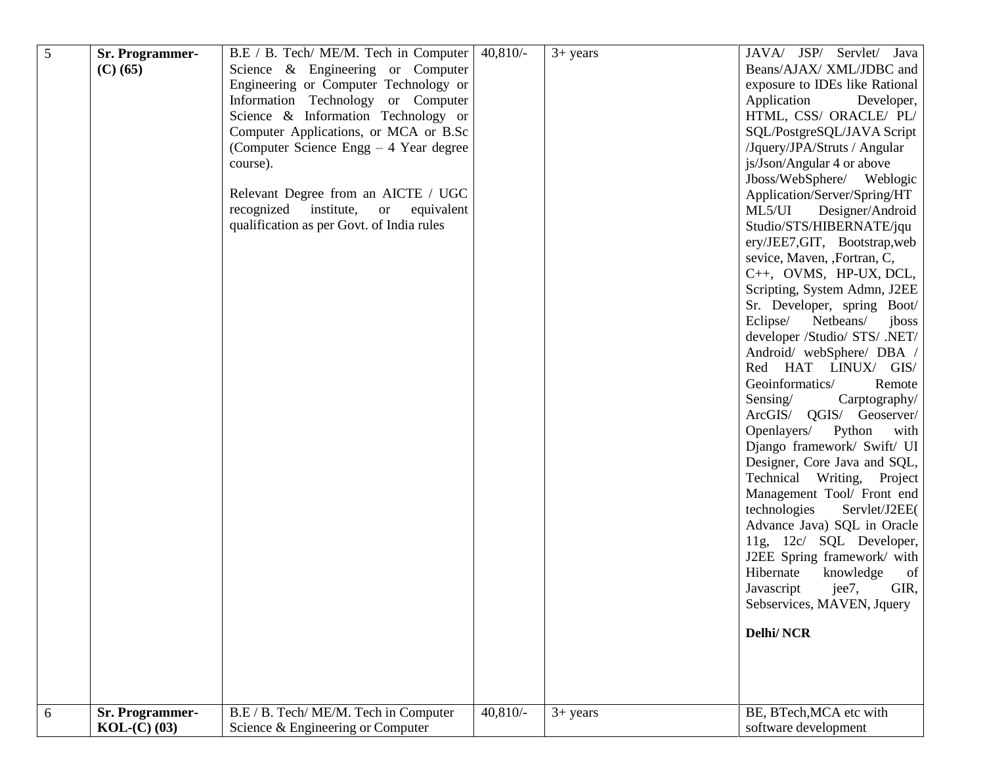| 5 | <b>Sr. Programmer-</b><br>$(C)$ (65)  | B.E / B. Tech/ ME/M. Tech in Computer<br>Science & Engineering or Computer<br>Engineering or Computer Technology or<br>Information Technology or Computer<br>Science & Information Technology or<br>Computer Applications, or MCA or B.Sc<br>(Computer Science Engg – 4 Year degree)<br>course).<br>Relevant Degree from an AICTE / UGC<br>recognized institute, or equivalent<br>qualification as per Govt. of India rules | $40,810/-$ | $3+$ years | JAVA/ JSP/ Servlet/ Java<br>Beans/AJAX/ XML/JDBC and<br>exposure to IDEs like Rational<br>Application<br>Developer,<br>HTML, CSS/ ORACLE/ PL/<br>SQL/PostgreSQL/JAVA Script<br>/Jquery/JPA/Struts / Angular<br>js/Json/Angular 4 or above<br>Jboss/WebSphere/ Weblogic<br>Application/Server/Spring/HT<br>ML5/UI Designer/Android<br>Studio/STS/HIBERNATE/jqu<br>ery/JEE7,GIT, Bootstrap,web<br>sevice, Maven, ,Fortran, C,<br>C++, OVMS, HP-UX, DCL,<br>Scripting, System Admn, J2EE<br>Sr. Developer, spring Boot/<br>Eclipse/<br>Netbeans/<br>jboss<br>developer /Studio/ STS/ .NET/<br>Android/ webSphere/ DBA /<br>Red HAT LINUX/ GIS/<br>Geoinformatics/<br>Remote<br>Sensing/<br>Carptography/<br>ArcGIS/ QGIS/ Geoserver/ |
|---|---------------------------------------|-----------------------------------------------------------------------------------------------------------------------------------------------------------------------------------------------------------------------------------------------------------------------------------------------------------------------------------------------------------------------------------------------------------------------------|------------|------------|-----------------------------------------------------------------------------------------------------------------------------------------------------------------------------------------------------------------------------------------------------------------------------------------------------------------------------------------------------------------------------------------------------------------------------------------------------------------------------------------------------------------------------------------------------------------------------------------------------------------------------------------------------------------------------------------------------------------------------------|
|   |                                       |                                                                                                                                                                                                                                                                                                                                                                                                                             |            |            | Openlayers/<br>Python<br>with<br>Django framework/ Swift/ UI<br>Designer, Core Java and SQL,<br>Technical Writing, Project<br>Management Tool/ Front end<br>Servlet/J2EE(<br>technologies<br>Advance Java) SQL in Oracle<br>11g, 12c/ SQL Developer,<br>J2EE Spring framework/ with<br>Hibernate<br>knowledge<br>of<br>GIR,<br>Javascript<br>jee7,<br>Sebservices, MAVEN, Jquery<br><b>Delhi/NCR</b>                                                                                                                                                                                                                                                                                                                              |
| 6 | <b>Sr. Programmer-</b><br>$KOL-C(03)$ | B.E / B. Tech/ME/M. Tech in Computer<br>Science & Engineering or Computer                                                                                                                                                                                                                                                                                                                                                   | $40,810/-$ | $3+ years$ | BE, BTech, MCA etc with<br>software development                                                                                                                                                                                                                                                                                                                                                                                                                                                                                                                                                                                                                                                                                   |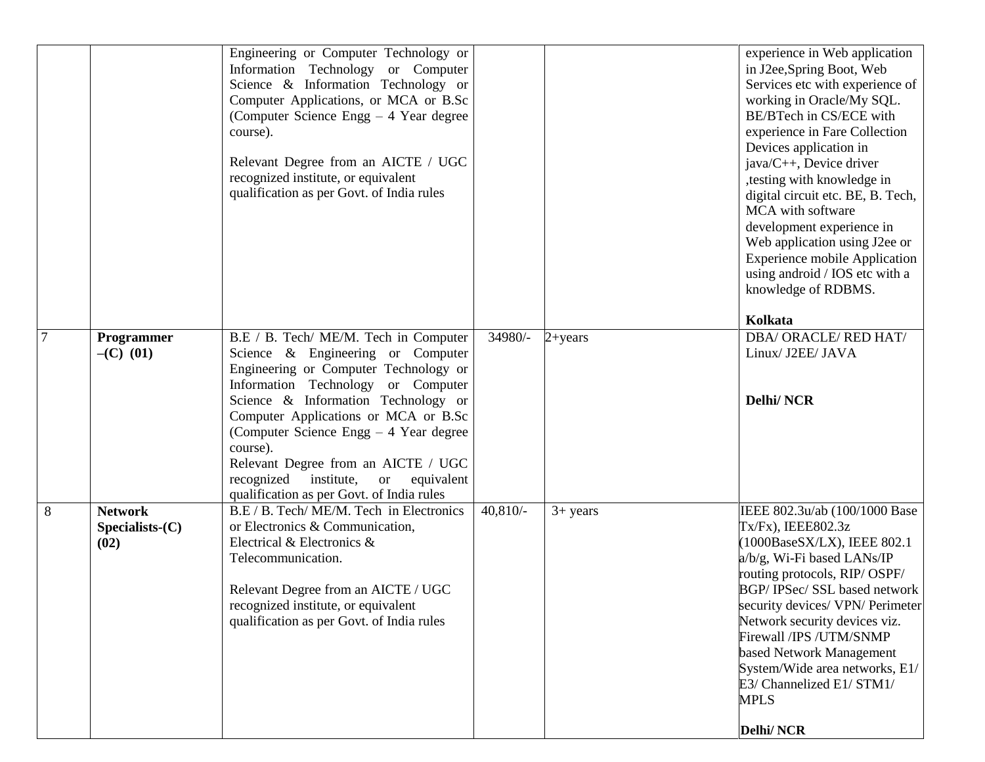|                |                                          | Engineering or Computer Technology or<br>Information Technology or Computer<br>Science & Information Technology or<br>Computer Applications, or MCA or B.Sc<br>(Computer Science Engg – 4 Year degree<br>course).<br>Relevant Degree from an AICTE / UGC<br>recognized institute, or equivalent<br>qualification as per Govt. of India rules                                                                                              |            |             | experience in Web application<br>in J2ee, Spring Boot, Web<br>Services etc with experience of<br>working in Oracle/My SQL.<br>BE/BTech in CS/ECE with<br>experience in Fare Collection<br>Devices application in<br>java/C++, Device driver<br>,testing with knowledge in<br>digital circuit etc. BE, B. Tech,<br>MCA with software<br>development experience in<br>Web application using J2ee or<br><b>Experience mobile Application</b><br>using android / IOS etc with a<br>knowledge of RDBMS.<br>Kolkata |
|----------------|------------------------------------------|-------------------------------------------------------------------------------------------------------------------------------------------------------------------------------------------------------------------------------------------------------------------------------------------------------------------------------------------------------------------------------------------------------------------------------------------|------------|-------------|---------------------------------------------------------------------------------------------------------------------------------------------------------------------------------------------------------------------------------------------------------------------------------------------------------------------------------------------------------------------------------------------------------------------------------------------------------------------------------------------------------------|
| $\overline{7}$ | Programmer<br>$-(C)$ (01)                | B.E / B. Tech/ ME/M. Tech in Computer<br>Science & Engineering or Computer<br>Engineering or Computer Technology or<br>Information Technology or Computer<br>Science & Information Technology or<br>Computer Applications or MCA or B.Sc<br>(Computer Science Engg – 4 Year degree<br>course).<br>Relevant Degree from an AICTE / UGC<br>institute,<br>recognized<br>equivalent<br><b>or</b><br>qualification as per Govt. of India rules | 34980/-    | $2 + years$ | DBA/ ORACLE/ RED HAT/<br>Linux/ J2EE/ JAVA<br><b>Delhi/NCR</b>                                                                                                                                                                                                                                                                                                                                                                                                                                                |
| 8              | <b>Network</b><br>Specialists(C)<br>(02) | B.E / B. Tech/ ME/M. Tech in Electronics<br>or Electronics & Communication,<br>Electrical & Electronics &<br>Telecommunication.<br>Relevant Degree from an AICTE / UGC<br>recognized institute, or equivalent<br>qualification as per Govt. of India rules                                                                                                                                                                                | $40,810/-$ | $3+$ years  | IEEE 802.3u/ab (100/1000 Base<br>Tx/Fx), IEEE802.3z<br>(1000BaseSX/LX), IEEE 802.1<br>a/b/g, Wi-Fi based LANs/IP<br>routing protocols, RIP/OSPF/<br>BGP/IPSec/SSL based network<br>security devices/ VPN/ Perimeter<br>Network security devices viz.<br>Firewall /IPS /UTM/SNMP<br>based Network Management<br>System/Wide area networks, E1/<br>E3/ Channelized E1/ STM1/<br><b>MPLS</b><br><b>Delhi/NCR</b>                                                                                                 |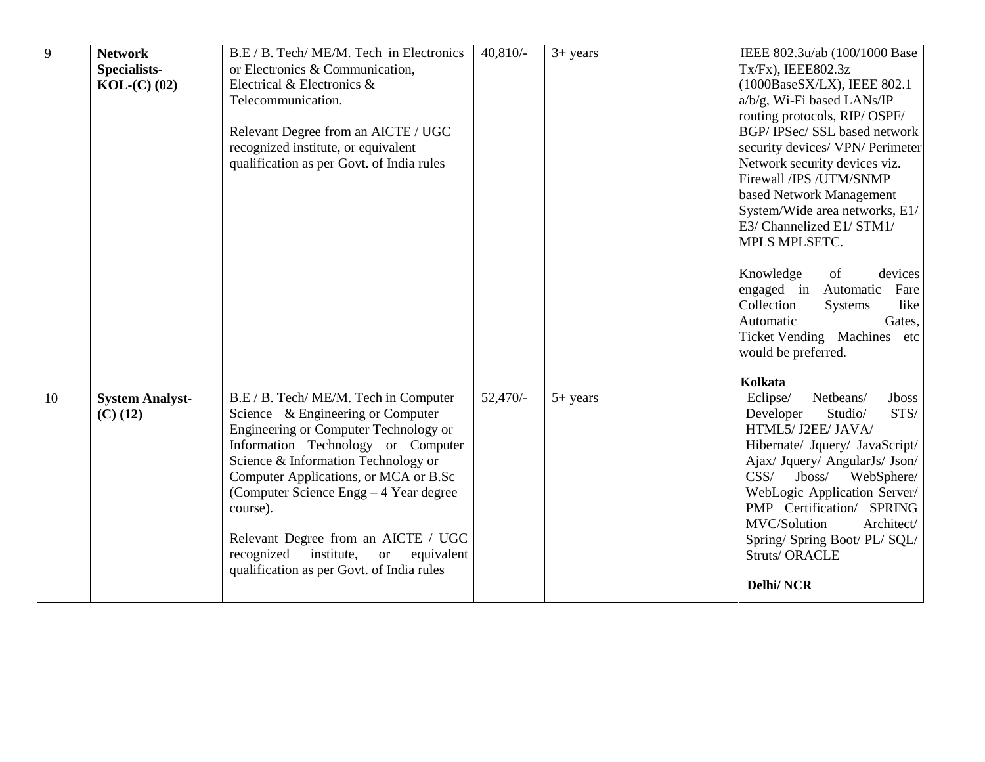| 9  | <b>Network</b>         | B.E / B. Tech/ ME/M. Tech in Electronics  | $40,810/-$ | $3+$ years | IEEE 802.3u/ab (100/1000 Base      |
|----|------------------------|-------------------------------------------|------------|------------|------------------------------------|
|    | Specialists-           | or Electronics & Communication,           |            |            | $Tx/Fx$ , IEEE802.3z               |
|    | $KOL-C$ (02)           | Electrical & Electronics &                |            |            | $(1000BaseSX/LX)$ , IEEE 802.1     |
|    |                        | Telecommunication.                        |            |            | a/b/g, Wi-Fi based LANs/IP         |
|    |                        |                                           |            |            | routing protocols, RIP/OSPF/       |
|    |                        | Relevant Degree from an AICTE / UGC       |            |            | BGP/IPSec/SSL based network        |
|    |                        | recognized institute, or equivalent       |            |            | security devices/ VPN/ Perimeter   |
|    |                        | qualification as per Govt. of India rules |            |            | Network security devices viz.      |
|    |                        |                                           |            |            | Firewall /IPS /UTM/SNMP            |
|    |                        |                                           |            |            | based Network Management           |
|    |                        |                                           |            |            | System/Wide area networks, E1/     |
|    |                        |                                           |            |            | E3/ Channelized E1/ STM1/          |
|    |                        |                                           |            |            | <b>MPLS MPLSETC.</b>               |
|    |                        |                                           |            |            |                                    |
|    |                        |                                           |            |            | Knowledge<br>of<br>devices         |
|    |                        |                                           |            |            | engaged in<br>Fare<br>Automatic    |
|    |                        |                                           |            |            | Collection<br>like<br>Systems      |
|    |                        |                                           |            |            | Automatic<br>Gates,                |
|    |                        |                                           |            |            | Ticket Vending Machines etc        |
|    |                        |                                           |            |            | would be preferred.                |
|    |                        |                                           |            |            | Kolkata                            |
| 10 | <b>System Analyst-</b> | B.E / B. Tech/ ME/M. Tech in Computer     | $52,470/-$ | $5+$ years | Eclipse/<br>Netbeans/<br>Jboss     |
|    | $(C)$ (12)             | Science & Engineering or Computer         |            |            | STS/<br>Developer<br>Studio/       |
|    |                        | Engineering or Computer Technology or     |            |            | HTML5/ J2EE/ JAVA/                 |
|    |                        | Information Technology or Computer        |            |            | Hibernate/ Jquery/ JavaScript/     |
|    |                        | Science & Information Technology or       |            |            | Ajax/ Jquery/ AngularJs/ Json/     |
|    |                        | Computer Applications, or MCA or B.Sc     |            |            | $J$ boss $/$<br>CSS/<br>WebSphere/ |
|    |                        | (Computer Science Engg – 4 Year degree)   |            |            | WebLogic Application Server/       |
|    |                        | course).                                  |            |            | PMP Certification/ SPRING          |
|    |                        |                                           |            |            | MVC/Solution<br>Architect/         |
|    |                        | Relevant Degree from an AICTE / UGC       |            |            | Spring/ Spring Boot/ PL/ SQL/      |
|    |                        | recognized institute, or equivalent       |            |            | <b>Struts/ORACLE</b>               |
|    |                        | qualification as per Govt. of India rules |            |            |                                    |
|    |                        |                                           |            |            | <b>Delhi/NCR</b>                   |
|    |                        |                                           |            |            |                                    |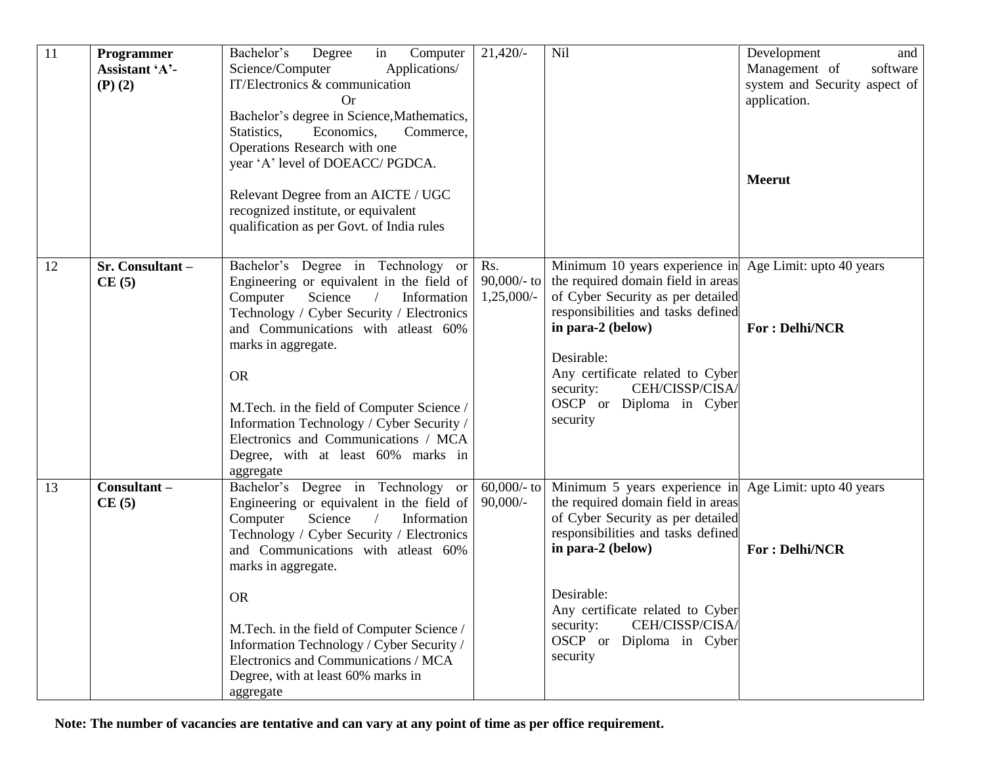| 11 | Programmer<br>Assistant 'A'-<br>$(P)$ $(2)$ | Bachelor's<br>Degree<br>in<br>Computer<br>Science/Computer<br>Applications/<br>IT/Electronics & communication<br>Or<br>Bachelor's degree in Science, Mathematics,<br>Statistics,<br>Economics,<br>Commerce,<br>Operations Research with one<br>year 'A' level of DOEACC/ PGDCA.<br>Relevant Degree from an AICTE / UGC<br>recognized institute, or equivalent<br>qualification as per Govt. of India rules                                        | $21,420/-$                            | Nil                                                                                                                                                                                                                                                                                                                     | Development<br>and<br>Management of<br>software<br>system and Security aspect of<br>application.<br><b>Meerut</b> |
|----|---------------------------------------------|---------------------------------------------------------------------------------------------------------------------------------------------------------------------------------------------------------------------------------------------------------------------------------------------------------------------------------------------------------------------------------------------------------------------------------------------------|---------------------------------------|-------------------------------------------------------------------------------------------------------------------------------------------------------------------------------------------------------------------------------------------------------------------------------------------------------------------------|-------------------------------------------------------------------------------------------------------------------|
| 12 | Sr. Consultant-<br>CE(5)                    | Bachelor's Degree in Technology or<br>Engineering or equivalent in the field of<br>Science<br>Information<br>Computer<br>Technology / Cyber Security / Electronics<br>and Communications with atleast 60%<br>marks in aggregate.<br><b>OR</b><br>M.Tech. in the field of Computer Science /<br>Information Technology / Cyber Security /<br>Electronics and Communications / MCA<br>Degree, with at least 60% marks in<br>aggregate               | Rs.<br>$90,000/$ - to<br>$1,25,000/-$ | Minimum 10 years experience in Age Limit: upto 40 years<br>the required domain field in areas<br>of Cyber Security as per detailed<br>responsibilities and tasks defined<br>in para-2 (below)<br>Desirable:<br>Any certificate related to Cyber<br>CEH/CISSP/CISA/<br>security:<br>OSCP or Diploma in Cyber<br>security | <b>For: Delhi/NCR</b>                                                                                             |
| 13 | Consultant-<br>CE(5)                        | Bachelor's Degree in Technology or<br>Engineering or equivalent in the field of<br>Computer<br>Science<br>Information<br>$\sqrt{2}$<br>Technology / Cyber Security / Electronics<br>and Communications with atleast 60%<br>marks in aggregate.<br><b>OR</b><br>M.Tech. in the field of Computer Science /<br>Information Technology / Cyber Security /<br>Electronics and Communications / MCA<br>Degree, with at least 60% marks in<br>aggregate | $60,000/$ - to<br>$90,000/-$          | Minimum 5 years experience in Age Limit: upto 40 years<br>the required domain field in areas<br>of Cyber Security as per detailed<br>responsibilities and tasks defined<br>in para-2 (below)<br>Desirable:<br>Any certificate related to Cyber<br>CEH/CISSP/CISA/<br>security:<br>OSCP or Diploma in Cyber<br>security  | <b>For: Delhi/NCR</b>                                                                                             |

**Note: The number of vacancies are tentative and can vary at any point of time as per office requirement.**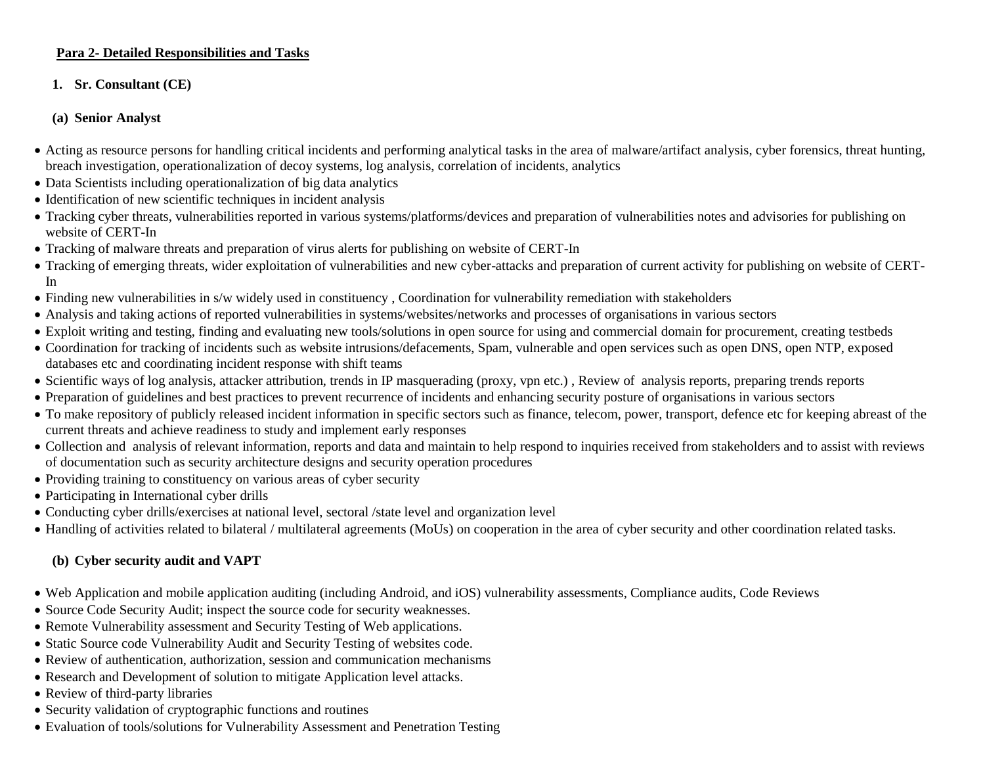#### **Para 2- Detailed Responsibilities and Tasks**

#### **1. Sr. Consultant (CE)**

#### **(a) Senior Analyst**

- Acting as resource persons for handling critical incidents and performing analytical tasks in the area of malware/artifact analysis, cyber forensics, threat hunting, breach investigation, operationalization of decoy systems, log analysis, correlation of incidents, analytics
- Data Scientists including operationalization of big data analytics
- Identification of new scientific techniques in incident analysis
- Tracking cyber threats, vulnerabilities reported in various systems/platforms/devices and preparation of vulnerabilities notes and advisories for publishing on website of CERT-In
- Tracking of malware threats and preparation of virus alerts for publishing on website of CERT-In
- Tracking of emerging threats, wider exploitation of vulnerabilities and new cyber-attacks and preparation of current activity for publishing on website of CERT-In
- Finding new vulnerabilities in s/w widely used in constituency, Coordination for vulnerability remediation with stakeholders
- Analysis and taking actions of reported vulnerabilities in systems/websites/networks and processes of organisations in various sectors
- Exploit writing and testing, finding and evaluating new tools/solutions in open source for using and commercial domain for procurement, creating testbeds
- Coordination for tracking of incidents such as website intrusions/defacements, Spam, vulnerable and open services such as open DNS, open NTP, exposed databases etc and coordinating incident response with shift teams
- Scientific ways of log analysis, attacker attribution, trends in IP masquerading (proxy, vpn etc.) , Review of analysis reports, preparing trends reports
- Preparation of guidelines and best practices to prevent recurrence of incidents and enhancing security posture of organisations in various sectors
- To make repository of publicly released incident information in specific sectors such as finance, telecom, power, transport, defence etc for keeping abreast of the current threats and achieve readiness to study and implement early responses
- Collection and analysis of relevant information, reports and data and maintain to help respond to inquiries received from stakeholders and to assist with reviews of documentation such as security architecture designs and security operation procedures
- Providing training to constituency on various areas of cyber security
- Participating in International cyber drills
- Conducting cyber drills/exercises at national level, sectoral /state level and organization level
- Handling of activities related to bilateral / multilateral agreements (MoUs) on cooperation in the area of cyber security and other coordination related tasks.

## **(b) Cyber security audit and VAPT**

- Web Application and mobile application auditing (including Android, and iOS) vulnerability assessments, Compliance audits, Code Reviews
- Source Code Security Audit; inspect the source code for security weaknesses.
- Remote Vulnerability assessment and Security Testing of Web applications.
- Static Source code Vulnerability Audit and Security Testing of websites code.
- Review of authentication, authorization, session and communication mechanisms
- Research and Development of solution to mitigate Application level attacks.
- Review of third-party libraries
- Security validation of cryptographic functions and routines
- Evaluation of tools/solutions for Vulnerability Assessment and Penetration Testing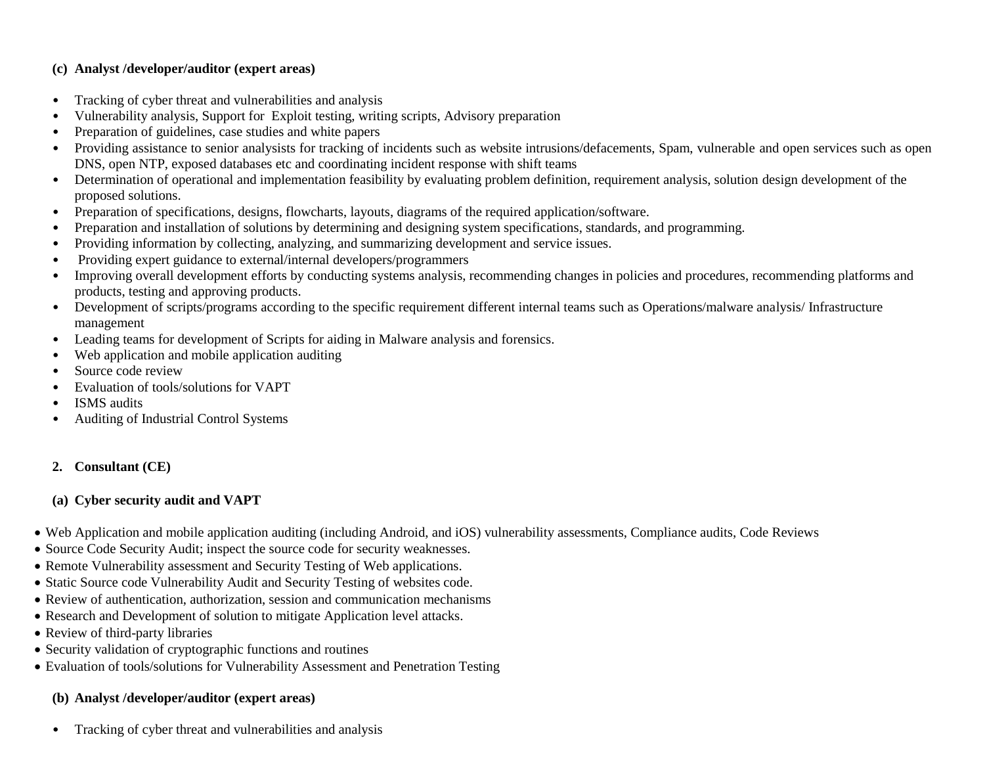#### **(c) Analyst /developer/auditor (expert areas)**

- Tracking of cyber threat and vulnerabilities and analysis
- Vulnerability analysis, Support for Exploit testing, writing scripts, Advisory preparation
- Preparation of guidelines, case studies and white papers
- Providing assistance to senior analysists for tracking of incidents such as website intrusions/defacements, Spam, vulnerable and open services such as open DNS, open NTP, exposed databases etc and coordinating incident response with shift teams
- Determination of operational and implementation feasibility by evaluating problem definition, requirement analysis, solution design development of the proposed solutions.
- Preparation of specifications, designs, flowcharts, layouts, diagrams of the required application/software.
- Preparation and installation of solutions by determining and designing system specifications, standards, and programming.
- Providing information by collecting, analyzing, and summarizing development and service issues.
- Providing expert guidance to external/internal developers/programmers
- Improving overall development efforts by conducting systems analysis, recommending changes in policies and procedures, recommending platforms and products, testing and approving products.
- Development of scripts/programs according to the specific requirement different internal teams such as Operations/malware analysis/ Infrastructure management
- Leading teams for development of Scripts for aiding in Malware analysis and forensics.
- Web application and mobile application auditing
- Source code review
- Evaluation of tools/solutions for VAPT
- ISMS audits
- Auditing of Industrial Control Systems

## **2. Consultant (CE)**

## **(a) Cyber security audit and VAPT**

- Web Application and mobile application auditing (including Android, and iOS) vulnerability assessments, Compliance audits, Code Reviews
- Source Code Security Audit; inspect the source code for security weaknesses.
- Remote Vulnerability assessment and Security Testing of Web applications.
- Static Source code Vulnerability Audit and Security Testing of websites code.
- Review of authentication, authorization, session and communication mechanisms
- Research and Development of solution to mitigate Application level attacks.
- Review of third-party libraries
- Security validation of cryptographic functions and routines
- Evaluation of tools/solutions for Vulnerability Assessment and Penetration Testing

## **(b) Analyst /developer/auditor (expert areas)**

• Tracking of cyber threat and vulnerabilities and analysis